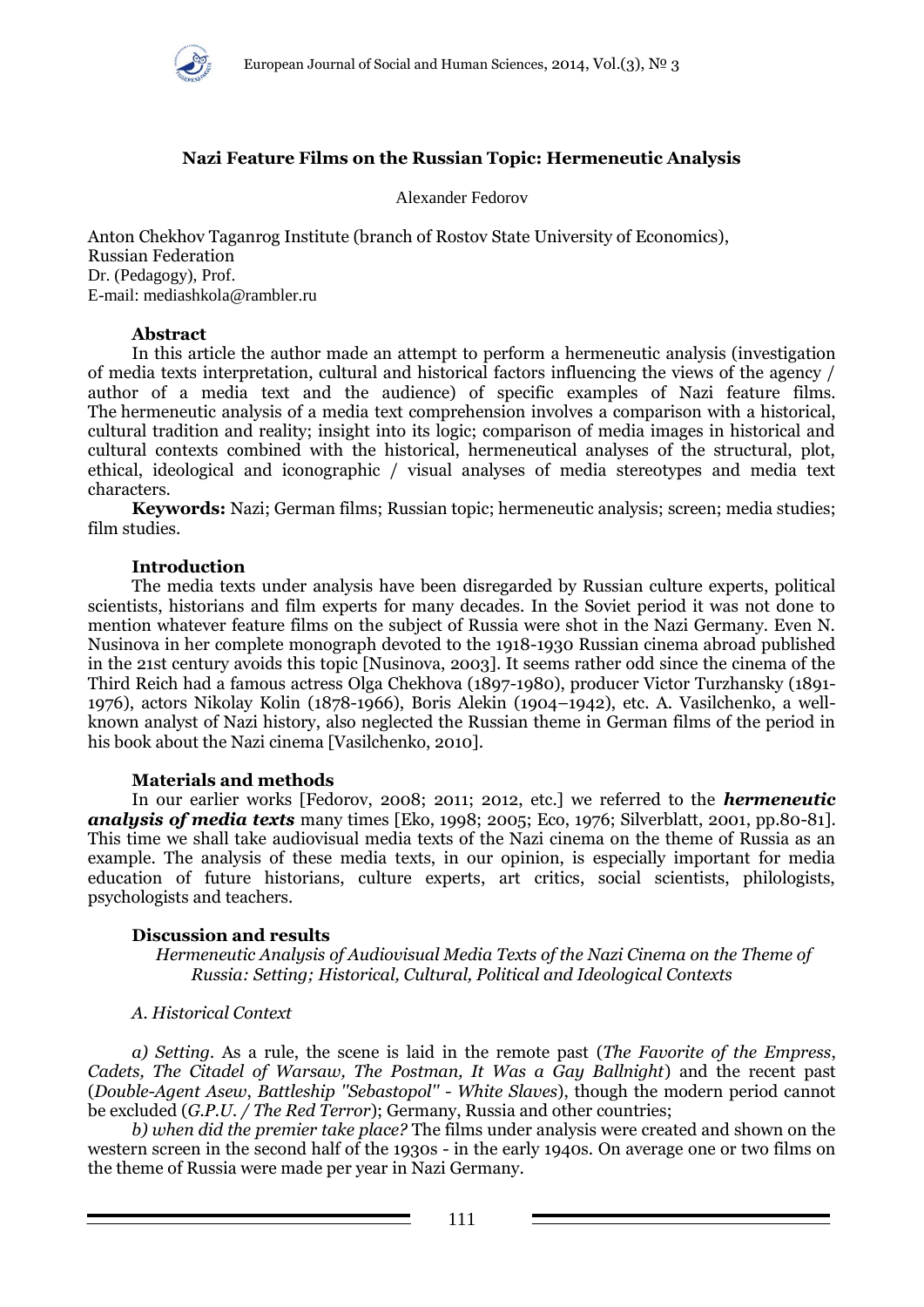

# **Nazi Feature Films on the Russian Topic: Hermeneutic Analysis**

Alexander Fedorov

Anton Chekhov Taganrog Institute (branch of Rostov State University of Economics), Russian Federation Dr. (Pedagogy), Prof. E-mail: mediashkola@rambler.ru

### **Abstract**

In this article the author made an attempt to perform a hermeneutic analysis (investigation of media texts interpretation, cultural and historical factors influencing the views of the agency / author of a media text and the audience) of specific examples of Nazi feature films. The hermeneutic analysis of a media text comprehension involves a comparison with a historical, cultural tradition and reality; insight into its logic; comparison of media images in historical and cultural contexts combined with the historical, hermeneutical analyses of the structural, plot, ethical, ideological and iconographic / visual analyses of media stereotypes and media text characters.

**Keywords:** Nazi; German films; Russian topic; hermeneutic analysis; screen; media studies; film studies.

### **Introduction**

The media texts under analysis have been disregarded by Russian culture experts, political scientists, historians and film experts for many decades. In the Soviet period it was not done to mention whatever feature films on the subject of Russia were shot in the Nazi Germany. Even N. Nusinova in her complete monograph devoted to the 1918-1930 Russian cinema abroad published in the 21st century avoids this topic [Nusinova, 2003]. It seems rather odd since the cinema of the Third Reich had a famous actress Olga Chekhova (1897-1980), producer Victor Turzhansky (1891- 1976), actors Nikolay Kolin (1878-1966), Boris Alekin (1904–1942), etc. A. Vasilchenko, a wellknown analyst of Nazi history, also neglected the Russian theme in German films of the period in his book about the Nazi cinema [Vasilchenko, 2010].

### **Materials and methods**

In our earlier works [Fedorov, 2008; 2011; 2012, etc.] we referred to the *hermeneutic analysis of media texts* many times [Eko, 1998; 2005; Eco, 1976; Silverblatt, 2001, pp.80-81]. This time we shall take audiovisual media texts of the Nazi cinema on the theme of Russia as an example. The analysis of these media texts, in our opinion, is especially important for media education of future historians, culture experts, art critics, social scientists, philologists, psychologists and teachers.

### **Discussion and results**

*Hermeneutic Analysis of Audiovisual Media Texts of the Nazi Cinema on the Theme of Russia: Setting; Historical, Cultural, Political and Ideological Contexts*

### *A. Historical Context*

*a) Setting.* As a rule, the scene is laid in the remote past (*The Favorite of the Empress*, *Cadets, The Citadel of Warsaw, The Postman, It Was a Gay Ballnight*) and the recent past (*Double-Agent Asew*, *Battleship ''Sebastopol'' - White Slaves*), though the modern period cannot be excluded (*G.P.U. / The Red Terror*); Germany, Russia and other countries;

*b) when did the premier take place?* The films under analysis were created and shown on the western screen in the second half of the 1930s - in the early 1940s. On average one or two films on the theme of Russia were made per year in Nazi Germany.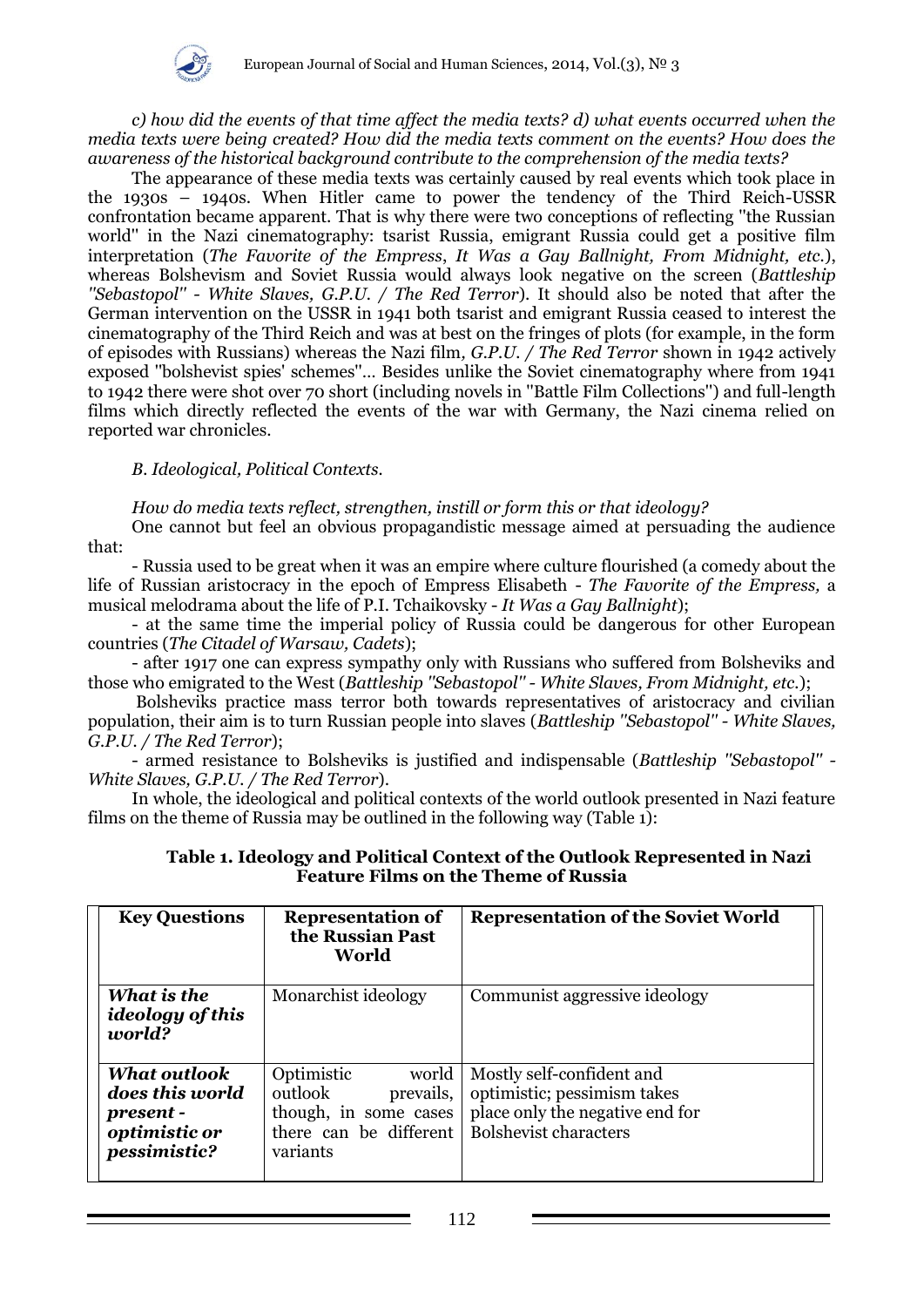

*c) how did the events of that time affect the media texts? d) what events occurred when the media texts were being created? How did the media texts comment on the events? How does the awareness of the historical background contribute to the comprehension of the media texts?*

The appearance of these media texts was certainly caused by real events which took place in the 1930s – 1940s. When Hitler came to power the tendency of the Third Reich-USSR confrontation became apparent. That is why there were two conceptions of reflecting ''the Russian world'' in the Nazi cinematography: tsarist Russia, emigrant Russia could get a positive film interpretation (*The Favorite of the Empress*, *It Was a Gay Ballnight, From Midnight, etc.*), whereas Bolshevism and Soviet Russia would always look negative on the screen (*Battleship ''Sebastopol'' - White Slaves, G.P.U. / The Red Terror*). It should also be noted that after the German intervention on the USSR in 1941 both tsarist and emigrant Russia ceased to interest the cinematography of the Third Reich and was at best on the fringes of plots (for example, in the form of episodes with Russians) whereas the Nazi film*, G.P.U. / The Red Terror* shown in 1942 actively exposed ''bolshevist spies' schemes''… Besides unlike the Soviet cinematography where from 1941 to 1942 there were shot over 70 short (including novels in ''Battle Film Collections'') and full-length films which directly reflected the events of the war with Germany, the Nazi cinema relied on reported war chronicles.

*B. Ideological, Political Contexts.*

*How do media texts reflect, strengthen, instill or form this or that ideology?*

One cannot but feel an obvious propagandistic message aimed at persuading the audience that:

- Russia used to be great when it was an empire where culture flourished (a comedy about the life of Russian aristocracy in the epoch of Empress Elisabeth - *The Favorite of the Empress,* a musical melodrama about the life of P.I. Tchaikovsky - *It Was a Gay Ballnight*);

- at the same time the imperial policy of Russia could be dangerous for other European countries (*The Citadel of Warsaw, Cadets*);

- after 1917 one can express sympathy only with Russians who suffered from Bolsheviks and those who emigrated to the West (*Battleship ''Sebastopol'' - White Slaves, From Midnight, etc.*);

Bolsheviks practice mass terror both towards representatives of aristocracy and civilian population, their aim is to turn Russian people into slaves (*Battleship ''Sebastopol'' - White Slaves, G.P.U. / The Red Terror*);

- armed resistance to Bolsheviks is justified and indispensable (*Battleship ''Sebastopol'' - White Slaves, G.P.U. / The Red Terror*).

In whole, the ideological and political contexts of the world outlook presented in Nazi feature films on the theme of Russia may be outlined in the following way (Table 1):

| Table 1. Ideology and Political Context of the Outlook Represented in Nazi |
|----------------------------------------------------------------------------|
| <b>Feature Films on the Theme of Russia</b>                                |

| <b>Key Questions</b>                                                          | <b>Representation of</b><br>the Russian Past<br>World                                                      | <b>Representation of the Soviet World</b>                                                                                   |
|-------------------------------------------------------------------------------|------------------------------------------------------------------------------------------------------------|-----------------------------------------------------------------------------------------------------------------------------|
| What is the<br><i>ideology of this</i><br>world?                              | Monarchist ideology                                                                                        | Communist aggressive ideology                                                                                               |
| What outlook<br>does this world<br>present -<br>optimistic or<br>pessimistic? | Optimistic<br>world<br>outlook<br>prevails,<br>though, in some cases<br>there can be different<br>variants | Mostly self-confident and<br>optimistic; pessimism takes<br>place only the negative end for<br><b>Bolshevist characters</b> |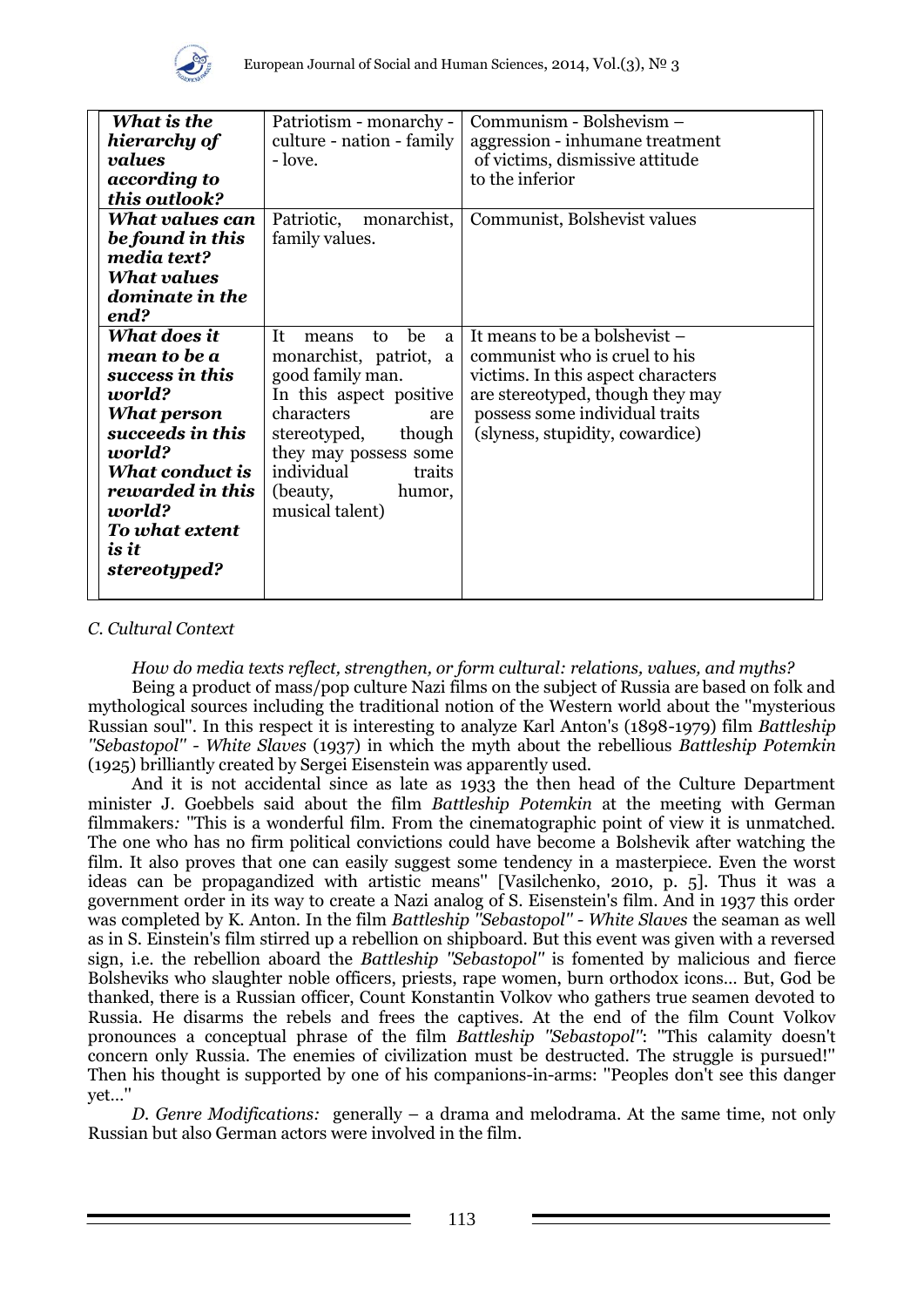

| What is the            | Patriotism - monarchy -             | Communism - Bolshevism -           |
|------------------------|-------------------------------------|------------------------------------|
| hierarchy of           | culture - nation - family           | aggression - inhumane treatment    |
| values                 | - love.                             | of victims, dismissive attitude    |
| according to           |                                     | to the inferior                    |
| this outlook?          |                                     |                                    |
| What values can        | Patriotic,<br>monarchist,           | Communist, Bolshevist values       |
| be found in this       | family values.                      |                                    |
| media text?            |                                     |                                    |
| <b>What values</b>     |                                     |                                    |
| dominate in the        |                                     |                                    |
| end?                   |                                     |                                    |
| What does it           | <b>It</b><br>be<br>to<br>means<br>a | It means to be a bolshevist –      |
| mean to be a           | monarchist, patriot,<br>a           | communist who is cruel to his      |
| success in this        | good family man.                    | victims. In this aspect characters |
| world?                 | In this aspect positive             | are stereotyped, though they may   |
| What person            | characters<br>are                   | possess some individual traits     |
| succeeds in this       | though<br>stereotyped,              | (slyness, stupidity, cowardice)    |
| world?                 | they may possess some               |                                    |
| <b>What conduct is</b> | individual<br>traits                |                                    |
| rewarded in this       | (beauty,<br>humor,                  |                                    |
| world?                 | musical talent)                     |                                    |
| To what extent         |                                     |                                    |
| is it                  |                                     |                                    |
| stereotyped?           |                                     |                                    |
|                        |                                     |                                    |

## *C. Cultural Context*

*How do media texts reflect, strengthen, or form cultural: relations, values, and myths?*

Being a product of mass/pop culture Nazi films on the subject of Russia are based on folk and mythological sources including the traditional notion of the Western world about the ''mysterious Russian soul''. In this respect it is interesting to analyze Karl Anton's (1898-1979) film *Battleship ''Sebastopol'' - White Slaves* (1937) in which the myth about the rebellious *Battleship Potemkin*  (1925) brilliantly created by Sergei Eisenstein was apparently used.

And it is not accidental since as late as 1933 the then head of the Culture Department minister J. Goebbels said about the film *Battleship Potemkin* at the meeting with German filmmakers*:* ''This is a wonderful film. From the cinematographic point of view it is unmatched. The one who has no firm political convictions could have become a Bolshevik after watching the film. It also proves that one can easily suggest some tendency in a masterpiece. Even the worst ideas can be propagandized with artistic means'' [Vasilchenko, 2010, p. 5]. Thus it was a government order in its way to create a Nazi analog of S. Eisenstein's film. And in 1937 this order was completed by K. Anton. In the film *Battleship ''Sebastopol'' - White Slaves* the seaman as well as in S. Einstein's film stirred up a rebellion on shipboard. But this event was given with a reversed sign, i.e. the rebellion aboard the *Battleship ''Sebastopol''* is fomented by malicious and fierce Bolsheviks who slaughter noble officers, priests, rape women, burn orthodox icons… But, God be thanked, there is a Russian officer, Count Konstantin Volkov who gathers true seamen devoted to Russia. He disarms the rebels and frees the captives. At the end of the film Count Volkov pronounces a conceptual phrase of the film *Battleship ''Sebastopol''*: ''This calamity doesn't concern only Russia. The enemies of civilization must be destructed. The struggle is pursued!'' Then his thought is supported by one of his companions-in-arms: ''Peoples don't see this danger yet…''

*D. Genre Modifications:* **generally – a drama and melodrama. At the same time, not only** Russian but also German actors were involved in the film.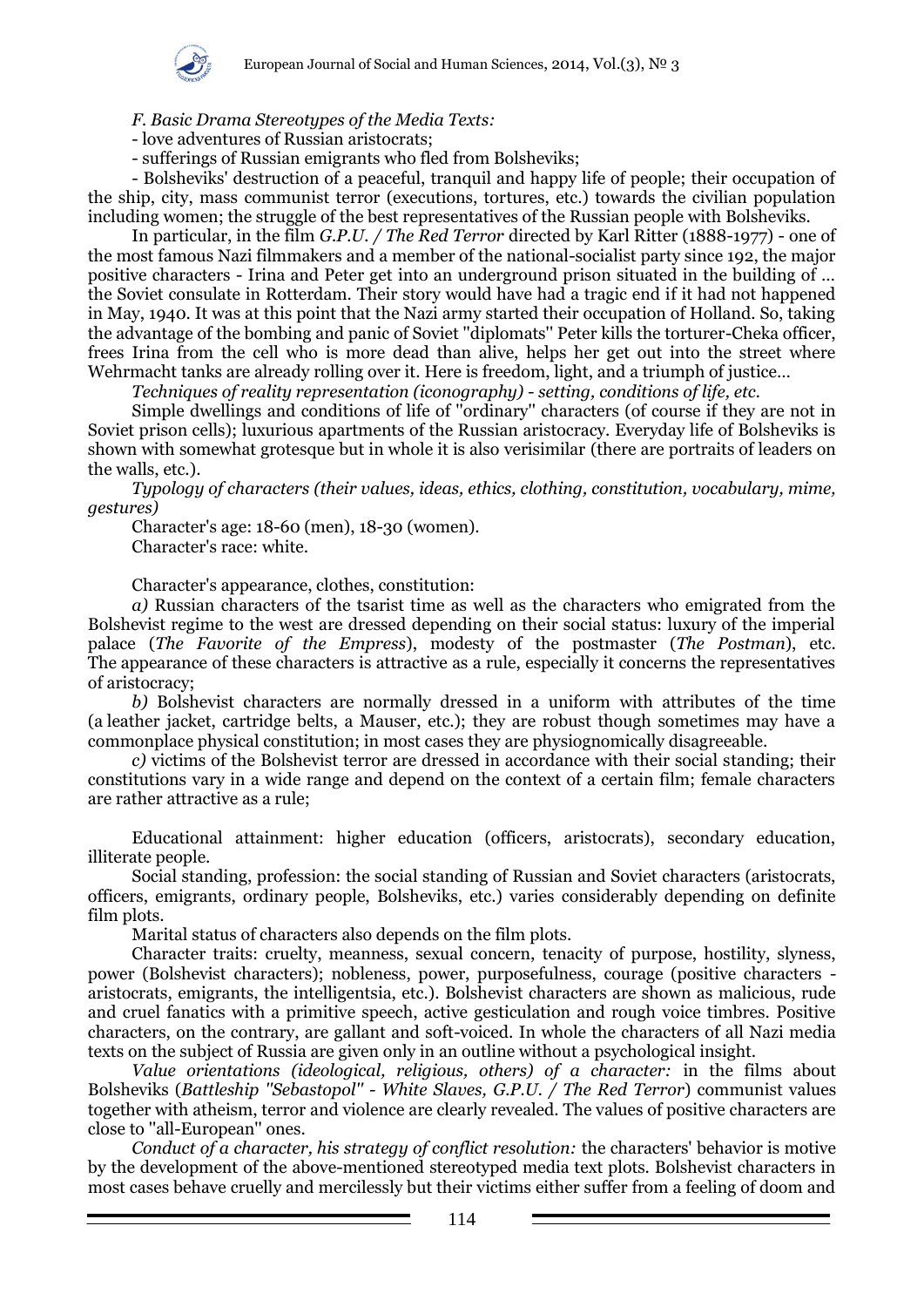

*F. Basic Drama Stereotypes of the Media Texts:*

- love adventures of Russian aristocrats;

- sufferings of Russian emigrants who fled from Bolsheviks;

- Bolsheviks' destruction of a peaceful, tranquil and happy life of people; their occupation of the ship, city, mass communist terror (executions, tortures, etc.) towards the civilian population including women; the struggle of the best representatives of the Russian people with Bolsheviks.

In particular, in the film *G.P.U. / The Red Terror* directed by Karl Ritter (1888-1977) - one of the most famous Nazi filmmakers and a member of the national-socialist party since 192, the major positive characters - Irina and Peter get into an underground prison situated in the building of … the Soviet consulate in Rotterdam. Their story would have had a tragic end if it had not happened in May, 1940. It was at this point that the Nazi army started their occupation of Holland. So, taking the advantage of the bombing and panic of Soviet ''diplomats'' Peter kills the torturer-Cheka officer, frees Irina from the cell who is more dead than alive, helps her get out into the street where Wehrmacht tanks are already rolling over it. Here is freedom, light, and a triumph of justice...

*Techniques of reality representation (iconography) - setting, conditions of life, etc.*

Simple dwellings and conditions of life of ''ordinary'' characters (of course if they are not in Soviet prison cells); luxurious apartments of the Russian aristocracy. Everyday life of Bolsheviks is shown with somewhat grotesque but in whole it is also verisimilar (there are portraits of leaders on the walls, etc.).

*Typology of characters (their values, ideas, ethics, clothing, constitution, vocabulary, mime, gestures)*

Character's age: 18-60 (men), 18-30 (women).

Character's race: white.

Character's appearance, clothes, constitution:

*a)* Russian characters of the tsarist time as well as the characters who emigrated from the Bolshevist regime to the west are dressed depending on their social status: luxury of the imperial palace (*The Favorite of the Empress*), modesty of the postmaster (*The Postman*), etc. The appearance of these characters is attractive as a rule, especially it concerns the representatives of aristocracy;

*b)* Bolshevist characters are normally dressed in a uniform with attributes of the time (a leather jacket, cartridge belts, a Mauser, etc.); they are robust though sometimes may have a commonplace physical constitution; in most cases they are physiognomically disagreeable.

*c)* victims of the Bolshevist terror are dressed in accordance with their social standing; their constitutions vary in a wide range and depend on the context of a certain film; female characters are rather attractive as a rule;

Educational attainment: higher education (officers, aristocrats), secondary education, illiterate people.

Social standing, profession: the social standing of Russian and Soviet characters (aristocrats, officers, emigrants, ordinary people, Bolsheviks, etc.) varies considerably depending on definite film plots.

Marital status of characters also depends on the film plots.

Character traits: cruelty, meanness, sexual concern, tenacity of purpose, hostility, slyness, power (Bolshevist characters); nobleness, power, purposefulness, courage (positive characters aristocrats, emigrants, the intelligentsia, etc.). Bolshevist characters are shown as malicious, rude and cruel fanatics with a primitive speech, active gesticulation and rough voice timbres. Positive characters, on the contrary, are gallant and soft-voiced. In whole the characters of all Nazi media texts on the subject of Russia are given only in an outline without a psychological insight.

*Value orientations (ideological, religious, others) of a character:* in the films about Bolsheviks (*Battleship ''Sebastopol'' - White Slaves, G.P.U. / The Red Terror*) communist values together with atheism, terror and violence are clearly revealed. The values of positive characters are close to ''all-European'' ones.

*Conduct of a character, his strategy of conflict resolution:* the characters' behavior is motive by the development of the above-mentioned stereotyped media text plots. Bolshevist characters in most cases behave cruelly and mercilessly but their victims either suffer from a feeling of doom and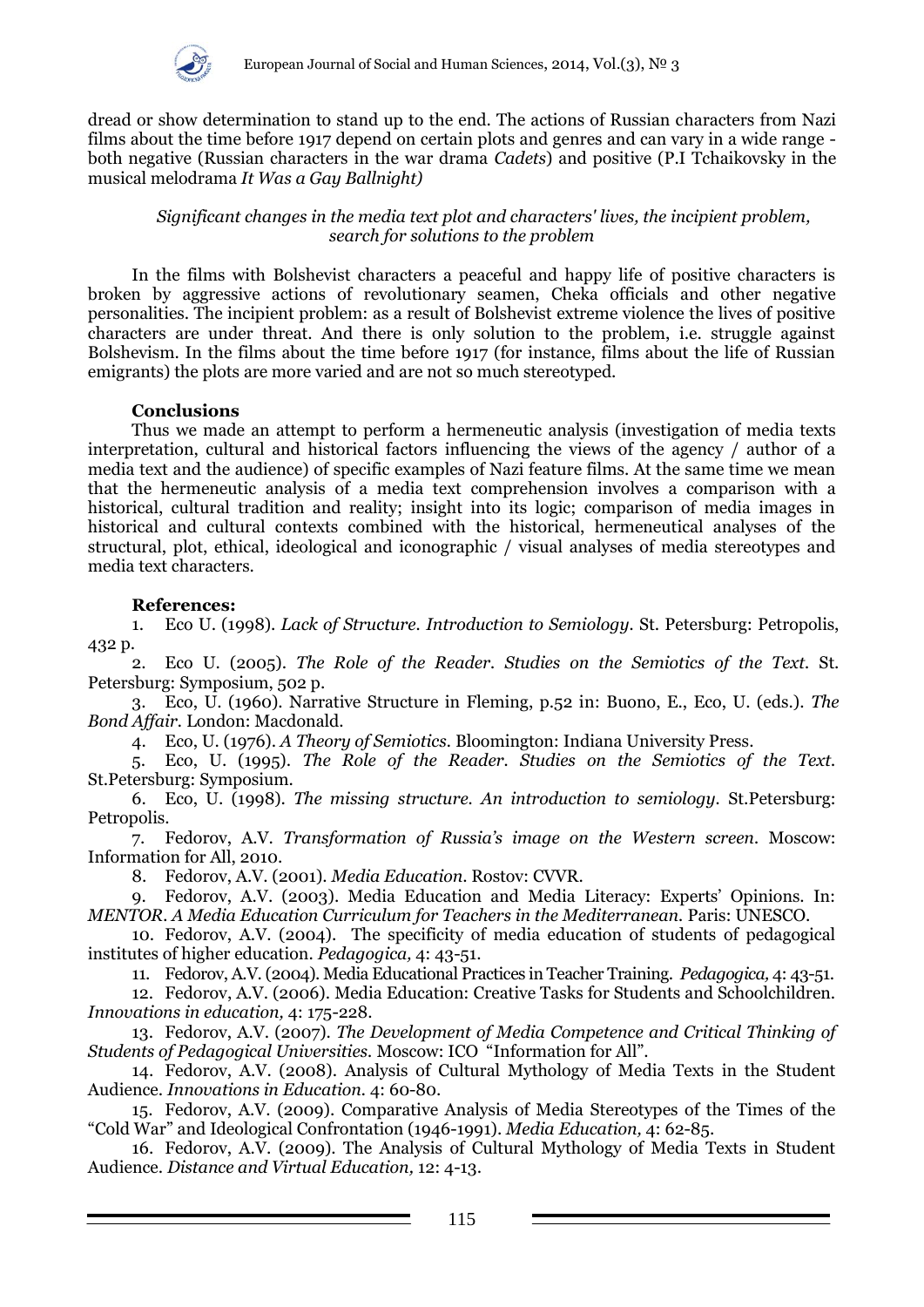

dread or show determination to stand up to the end. The actions of Russian characters from Nazi films about the time before 1917 depend on certain plots and genres and can vary in a wide range both negative (Russian characters in the war drama *Cadets*) and positive (P.I Tchaikovsky in the musical melodrama *It Was a Gay Ballnight)*

### *Significant changes in the media text plot and characters' lives, the incipient problem, search for solutions to the problem*

In the films with Bolshevist characters a peaceful and happy life of positive characters is broken by aggressive actions of revolutionary seamen, Cheka officials and other negative personalities. The incipient problem: as a result of Bolshevist extreme violence the lives of positive characters are under threat. And there is only solution to the problem, i.e. struggle against Bolshevism. In the films about the time before 1917 (for instance, films about the life of Russian emigrants) the plots are more varied and are not so much stereotyped.

## **Conclusions**

Thus we made an attempt to perform a hermeneutic analysis (investigation of media texts interpretation, cultural and historical factors influencing the views of the agency / author of a media text and the audience) of specific examples of Nazi feature films. At the same time we mean that the hermeneutic analysis of a media text comprehension involves a comparison with a historical, cultural tradition and reality; insight into its logic; comparison of media images in historical and cultural contexts combined with the historical, hermeneutical analyses of the structural, plot, ethical, ideological and iconographic / visual analyses of media stereotypes and media text characters.

## **References:**

1. Eco U. (1998). *Lack of Structure. Introduction to Semiology.* St. Petersburg: Petropolis, 432 p.

2. Eco U. (2005). *The Role of the Reader. Studies on the Semiotics of the Text.* St. Petersburg: Symposium, 502 p.

3. Eco, U. (1960). Narrative Structure in Fleming, p.52 in: Buono, E., Eco, U. (eds.). *The Bond Affair.* London: Macdonald.

4. Eco, U. (1976). *A Theory of Semiotics.* Bloomington: Indiana University Press.

5. Eco, U. (1995). *The Role of the Reader. Studies on the Semiotics of the Text.* St.Petersburg: Symposium.

6. Eco, U. (1998). *The missing structure. An introduction to semiology.* St.Petersburg: Petropolis.

7. Fedorov, A.V. *Transformation of Russia's image on the Western screen.* Moscow: Information for All, 2010.

8. Fedorov, A.V. (2001). *Media Education*. Rostov: CVVR.

9. Fedorov, A.V. (2003). Media Education and Media Literacy: Experts' Opinions. In: *MENTOR. A Media Education Curriculum for Teachers in the Mediterranean.* Paris: UNESCO.

10. Fedorov, A.V. (2004). The specificity of media education of students of pedagogical institutes of higher education. *Pedagogica,* 4: 43-51.

11. Fedorov, A.V. (2004). Media Educational Practices in Teacher Training. *Pedagogica,* 4: 43-51.

12. Fedorov, A.V. (2006). Media Education: Creative Tasks for Students and Schoolchildren. *Innovations in education,* 4: 175-228.

13. Fedorov, A.V. (2007). *The Development of Media Competence and Critical Thinking of Students of Pedagogical Universities.* Moscow: ICO "Information for All".

14. Fedorov, A.V. (2008). Analysis of Cultural Mythology of Media Texts in the Student Audience. *Innovations in Education.* 4: 60-80.

15. Fedorov, A.V. (2009). Comparative Analysis of Media Stereotypes of the Times of the ―Cold War‖ and Ideological Confrontation (1946-1991). *Media Education,* 4: 62-85.

16. Fedorov, A.V. (2009). The Analysis of Cultural Mythology of Media Texts in Student Audience. *Distance and Virtual Education,* 12: 4-13.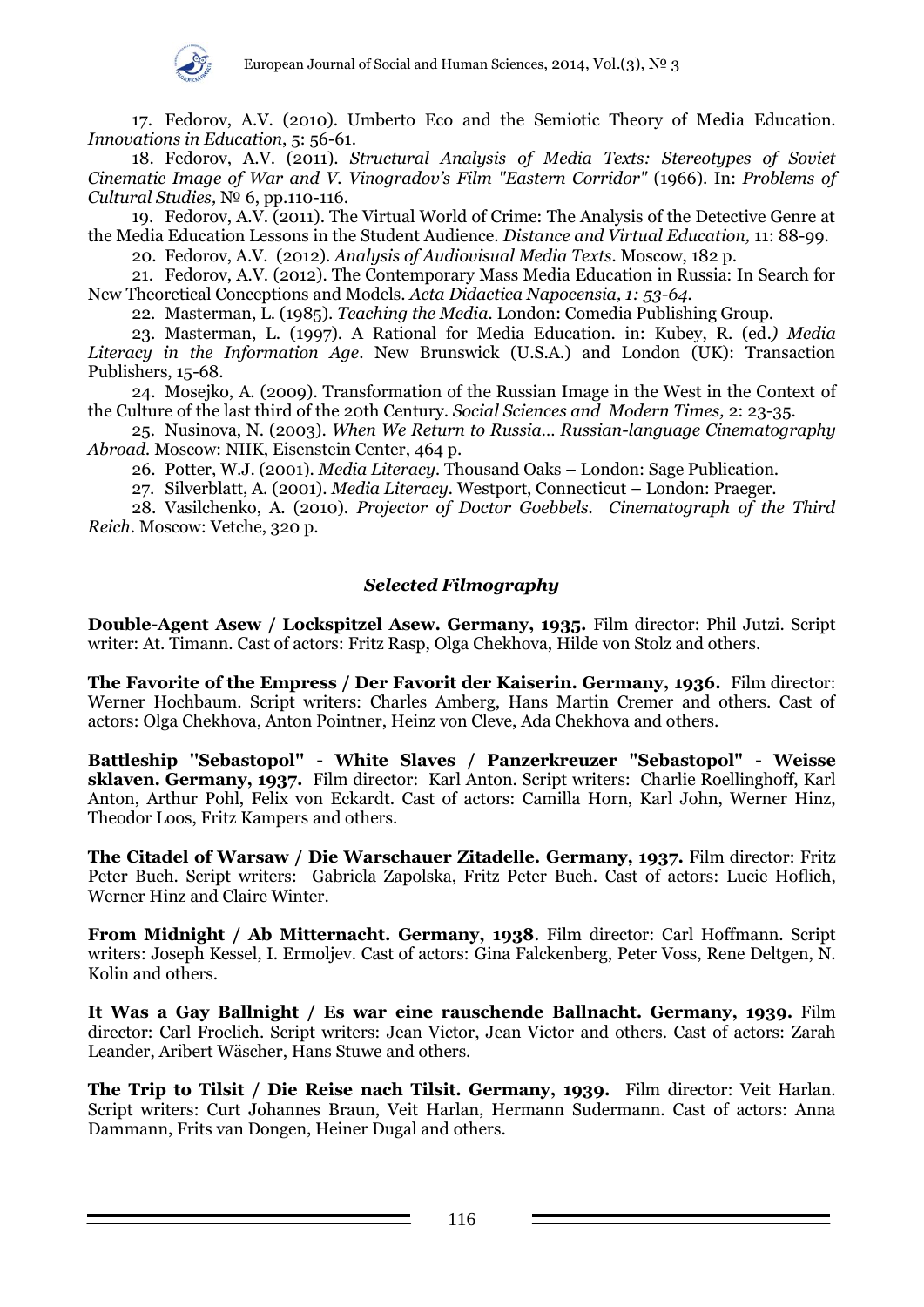

17. Fedorov, A.V. (2010). Umberto Eco and the Semiotic Theory of Media Education. *Innovations in Education*, 5: 56-61.

18. Fedorov, A.V. (2011). *Structural Analysis of Media Texts: Stereotypes of Soviet Cinematic Image of War and V. Vinogradov's Film "Eastern Corridor"* (1966). In: *Problems of Cultural Studies,* № 6, pp.110-116.

19. Fedorov, A.V. (2011). The Virtual World of Crime: The Analysis of the Detective Genre at the Media Education Lessons in the Student Audience. *Distance and Virtual Education,* 11: 88-99.

20. Fedorov, A.V. (2012). *Analysis of Audiovisual Media Texts.* Moscow, 182 p.

21. Fedorov, A.V. (2012). The Contemporary Mass Media Education in Russia: In Search for New Theoretical Conceptions and Models. *Acta Didactica Napocensia, 1: 53-64.*

22. Masterman, L. (1985). *Teaching the Media.* London: Comedia Publishing Group.

23. Masterman, L. (1997). A Rational for Media Education. in: Kubey, R. (ed*.) Media Literacy in the Information Age*. New Brunswick (U.S.A.) and London (UK): Transaction Publishers, 15-68.

24. Mosejko, A. (2009). Transformation of the Russian Image in the West in the Context of the Culture of the last third of the 20th Century. *Social Sciences and Modern Times,* 2: 23-35.

25. Nusinova, N. (2003). *When We Return to Russia… Russian-language Cinematography Abroad.* Мoscow: NIIK, Eisenstein Center, 464 p.

26. Potter, W.J. (2001). *Media Literacy.* Thousand Oaks – London: Sage Publication.

27. Silverblatt, A. (2001). *Media Literacy.* Westport, Connecticut – London: Praeger.

28. Vasilchenko, A. (2010). *Projector of Doctor Goebbels. Cinematograph of the Third Reich*. Мoscow: Vetche, 320 p.

## *Selected Filmography*

**Double-Agent Asew / Lockspitzel Asew. Germany, 1935.** Film director: Phil Jutzi. Script writer: At. Timann. Cast of actors: Fritz Rasp, Olga Chekhova, Hilde von Stolz and others.

**The Favorite of the Empress / Der Favorit der Kaiserin. Germany, 1936.** Film director: Werner Hochbaum. Script writers: Charles Amberg, Hans Martin Cremer and others. Cast of actors: Olga Chekhova, Anton Pointner, Heinz von Cleve, Ada Chekhova and others.

**Battleship ''Sebastopol'' - White Slaves / Panzerkreuzer "Sebastopol" - Weisse sklaven. Germany, 1937.** Film director: Karl Anton. Script writers: Charlie Roellinghoff, Karl Anton, Arthur Pohl, Felix von Eckardt. Cast of actors: Camilla Horn, Karl John, Werner Hinz, Theodor Loos, Fritz Kampers and others.

**The Citadel of Warsaw / Die Warschauer Zitadelle. Germany, 1937.** Film director: Fritz Peter Buch. Script writers: Gabriela Zapolska, Fritz Peter Buch. Cast of actors: Lucie Hoflich, Werner Hinz and Claire Winter.

**From Midnight / Ab Mitternacht. Germany, 1938**. Film director: Carl Hoffmann. Script writers: Joseph Kessel, I. Ermoljev. Cast of actors: Gina Falckenberg, Peter Voss, Rene Deltgen, N. Kolin and others.

**It Was a Gay Ballnight / Es war eine rauschende Ballnacht. Germany, 1939.** Film director: Carl Froelich. Script writers: Jean Victor, Jean Victor and others. Cast of actors: Zarah Leander, Aribert Wäscher, Hans Stuwe and others.

**The Trip to Tilsit / Die Reise nach Tilsit. Germany, 1939.** Film director: Veit Harlan. Script writers: Curt Johannes Braun, Veit Harlan, Hermann Sudermann. Cast of actors: Anna Dammann, Frits van Dongen, Heiner Dugal and others.